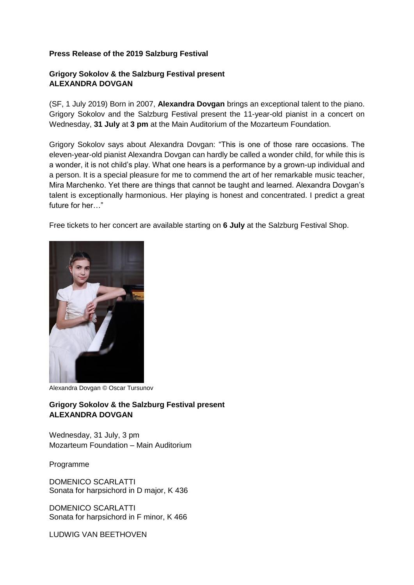## **Press Release of the 2019 Salzburg Festival**

## **Grigory Sokolov & the Salzburg Festival present ALEXANDRA DOVGAN**

(SF, 1 July 2019) Born in 2007, **Alexandra Dovgan** brings an exceptional talent to the piano. Grigory Sokolov and the Salzburg Festival present the 11-year-old pianist in a concert on Wednesday, **31 July** at **3 pm** at the Main Auditorium of the Mozarteum Foundation.

Grigory Sokolov says about Alexandra Dovgan: "This is one of those rare occasions. The eleven-year-old pianist Alexandra Dovgan can hardly be called a wonder child, for while this is a wonder, it is not child's play. What one hears is a performance by a grown-up individual and a person. It is a special pleasure for me to commend the art of her remarkable music teacher, Mira Marchenko. Yet there are things that cannot be taught and learned. Alexandra Dovgan's talent is exceptionally harmonious. Her playing is honest and concentrated. I predict a great future for her  $"$ 

Free tickets to her concert are available starting on **6 July** at the Salzburg Festival Shop.



Alexandra Dovgan © Oscar Tursunov

## **Grigory Sokolov & the Salzburg Festival present ALEXANDRA DOVGAN**

Wednesday, 31 July, 3 pm Mozarteum Foundation – Main Auditorium

Programme

DOMENICO SCARLATTI Sonata for harpsichord in D major, K 436

DOMENICO SCARLATTI Sonata for harpsichord in F minor, K 466

LUDWIG VAN BEETHOVEN